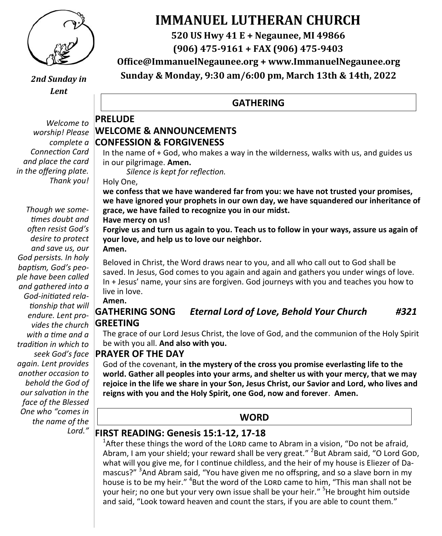

*2nd Sunday in Lent*

*Welcome to worship! Please complete a Connection Card and place the card in the offering plate. Thank you!*

*Though we sometimes doubt and often resist God's desire to protect and save us, our God persists. In holy baptism, God's people have been called and gathered into a God-initiated relationship that will endure. Lent provides the church with a time and a tradition in which to seek God's face again. Lent provides another occasion to behold the God of our salvation in the face of the Blessed One who "comes in the name of the Lord."*

# **IMMANUEL LUTHERAN CHURCH**

**520 US Hwy 41 E + Negaunee, MI 49866**

**(906) 475-9161 + FAX (906) 475-9403**

**Office@ImmanuelNegaunee.org + www.ImmanuelNegaunee.org**

**Sunday & Monday, 9:30 am/6:00 pm, March 13th & 14th, 2022**

#### **GATHERING**

#### **PRELUDE WELCOME & ANNOUNCEMENTS CONFESSION & FORGIVENESS**

In the name of + God, who makes a way in the wilderness, walks with us, and guides us in our pilgrimage. **Amen.**

*Silence is kept for reflection.*

Holy One,

**we confess that we have wandered far from you: we have not trusted your promises, we have ignored your prophets in our own day, we have squandered our inheritance of grace, we have failed to recognize you in our midst.** 

**Have mercy on us!**

**Forgive us and turn us again to you. Teach us to follow in your ways, assure us again of your love, and help us to love our neighbor. Amen.**

Beloved in Christ, the Word draws near to you, and all who call out to God shall be saved. In Jesus, God comes to you again and again and gathers you under wings of love. In + Jesus' name, your sins are forgiven. God journeys with you and teaches you how to live in love. **Amen.**

## **GATHERING SONG** *Eternal Lord of Love, Behold Your Church #321* **GREETING**

The grace of our Lord Jesus Christ, the love of God, and the communion of the Holy Spirit be with you all. **And also with you.** 

#### **PRAYER OF THE DAY**

God of the covenant, **in the mystery of the cross you promise everlasting life to the world. Gather all peoples into your arms, and shelter us with your mercy, that we may rejoice in the life we share in your Son, Jesus Christ, our Savior and Lord, who lives and reigns with you and the Holy Spirit, one God, now and forever**. **Amen.**

#### **WORD**

## **FIRST READING: Genesis 15:1-12, 17-18**

<sup>1</sup>After these things the word of the LORD came to Abram in a vision, "Do not be afraid, Abram, I am your shield; your reward shall be very great." <sup>2</sup>But Abram said, "O Lord GoD, what will you give me, for I continue childless, and the heir of my house is Eliezer of Damascus?" <sup>3</sup>And Abram said, "You have given me no offspring, and so a slave born in my house is to be my heir." <sup>4</sup>But the word of the LORD came to him, "This man shall not be your heir; no one but your very own issue shall be your heir." <sup>5</sup>He brought him outside and said, "Look toward heaven and count the stars, if you are able to count them."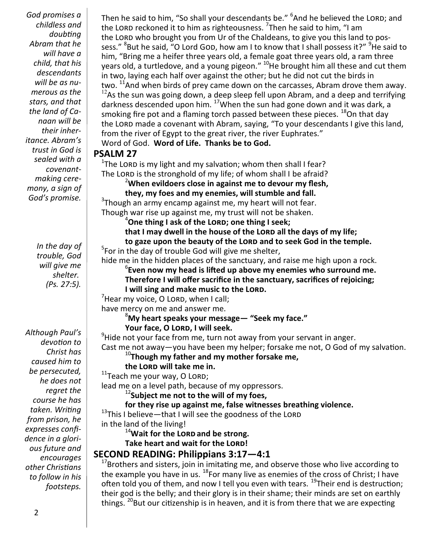*God promises a childless and doubting Abram that he will have a child, that his descendants will be as numerous as the stars, and that the land of Canaan will be their inheritance. Abram's trust in God is sealed with a covenantmaking ceremony, a sign of God's promise.*

> *In the day of trouble, God will give me shelter. (Ps. 27:5).*

*Although Paul's devotion to Christ has caused him to be persecuted, he does not regret the course he has taken. Writing from prison, he expresses confidence in a glorious future and encourages other Christians to follow in his footsteps.* 

Then he said to him, "So shall your descendants be." <sup>6</sup>And he believed the LORD; and the LORD reckoned it to him as righteousness. <sup>7</sup>Then he said to him, "I am the LORD who brought you from Ur of the Chaldeans, to give you this land to possess." <sup>8</sup>But he said, "O Lord GoD, how am I to know that I shall possess it?" <sup>9</sup>He said to him, "Bring me a heifer three years old, a female goat three years old, a ram three years old, a turtledove, and a young pigeon." <sup>10</sup>He brought him all these and cut them in two, laying each half over against the other; but he did not cut the birds in two.  $^{11}$ And when birds of prey came down on the carcasses, Abram drove them away.  $12$ As the sun was going down, a deep sleep fell upon Abram, and a deep and terrifying darkness descended upon him. <sup>17</sup>When the sun had gone down and it was dark, a smoking fire pot and a flaming torch passed between these pieces.  $^{18}$ On that day the LORD made a covenant with Abram, saying, "To your descendants I give this land, from the river of Egypt to the great river, the river Euphrates." Word of God. **Word of Life. Thanks be to God.**

#### **PSALM 27**

 $1$ The LORD is my light and my salvation; whom then shall I fear? The LORD is the stronghold of my life; of whom shall I be afraid?

<sup>2</sup>**When evildoers close in against me to devour my flesh,**

**they, my foes and my enemies, will stumble and fall.**

<sup>3</sup>Though an army encamp against me, my heart will not fear.

Though war rise up against me, my trust will not be shaken. <sup>4</sup>**One thing I ask of the Lord; one thing I seek;**

**that I may dwell in the house of the Lord all the days of my life;** 

**to gaze upon the beauty of the Lord and to seek God in the temple.**

<sup>5</sup>For in the day of trouble God will give me shelter,

hide me in the hidden places of the sanctuary, and raise me high upon a rock.

6 **Even now my head is lifted up above my enemies who surround me.**

**Therefore I will offer sacrifice in the sanctuary, sacrifices of rejoicing;** 

**I will sing and make music to the Lord.**

 $7$ Hear my voice, O LORD, when I call;

have mercy on me and answer me.

#### <sup>8</sup>**My heart speaks your message— "Seek my face." Your face, O Lord, I will seek.**

 $^{9}$ Hide not your face from me, turn not away from your servant in anger. Cast me not away—you have been my helper; forsake me not, O God of my salvation.

<sup>10</sup>**Though my father and my mother forsake me,**

**the Lord will take me in.**

 $11$ Teach me your way, O LORD;

lead me on a level path, because of my oppressors.

<sup>12</sup>**Subject me not to the will of my foes,**

**for they rise up against me, false witnesses breathing violence.**

 $13$ This I believe—that I will see the goodness of the LORD

in the land of the living!

<sup>14</sup>**Wait for the Lord and be strong.**

**Take heart and wait for the Lord!**

# **SECOND READING: Philippians 3:17—4:1**

<sup>17</sup>Brothers and sisters, join in imitating me, and observe those who live according to the example you have in us.  $^{18}$  For many live as enemies of the cross of Christ; I have often told you of them, and now I tell you even with tears. <sup>19</sup>Their end is destruction; their god is the belly; and their glory is in their shame; their minds are set on earthly things.  $^{20}$ But our citizenship is in heaven, and it is from there that we are expecting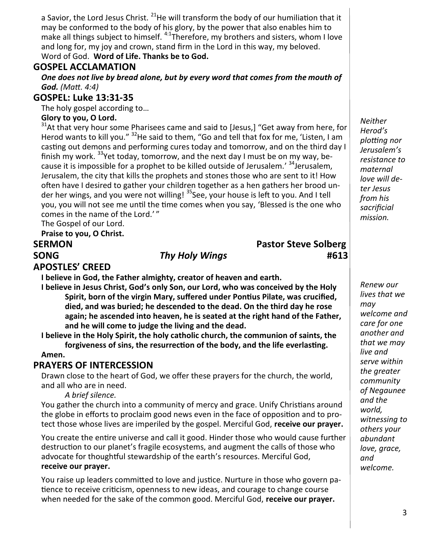a Savior, the Lord Jesus Christ.  $^{21}$ He will transform the body of our humiliation that it may be conformed to the body of his glory, by the power that also enables him to make all things subject to himself. <sup>4:1</sup>Therefore, my brothers and sisters, whom I love and long for, my joy and crown, stand firm in the Lord in this way, my beloved. Word of God. **Word of Life. Thanks be to God.** 

#### **GOSPEL ACCLAMATION**

*One does not live by bread alone, but by every word that comes from the mouth of God. (Matt. 4:4)*

#### **GOSPEL: Luke 13:31-35**

The holy gospel according to…

#### **Glory to you, O Lord.**

<sup>31</sup>At that very hour some Pharisees came and said to [Jesus,] "Get away from here, for Herod wants to kill you." <sup>32</sup>He said to them, "Go and tell that fox for me, 'Listen, I am casting out demons and performing cures today and tomorrow, and on the third day I finish my work.  $33$ Yet today, tomorrow, and the next day I must be on my way, because it is impossible for a prophet to be killed outside of Jerusalem.' <sup>34</sup>Jerusalem, Jerusalem, the city that kills the prophets and stones those who are sent to it! How often have I desired to gather your children together as a hen gathers her brood under her wings, and you were not willing! <sup>35</sup>See, your house is left to you. And I tell you, you will not see me until the time comes when you say, 'Blessed is the one who comes in the name of the Lord.'"

The Gospel of our Lord.

**Praise to you, O Christ.**

# **SERMON Pastor Steve Solberg SONG** *Thy Holy Wings* **#613**

#### **APOSTLES' CREED**

**I believe in God, the Father almighty, creator of heaven and earth.**

**I believe in Jesus Christ, God's only Son, our Lord, who was conceived by the Holy Spirit, born of the virgin Mary, suffered under Pontius Pilate, was crucified, died, and was buried; he descended to the dead. On the third day he rose again; he ascended into heaven, he is seated at the right hand of the Father, and he will come to judge the living and the dead.**

**I believe in the Holy Spirit, the holy catholic church, the communion of saints, the forgiveness of sins, the resurrection of the body, and the life everlasting.** 

#### **Amen.**

#### **PRAYERS OF INTERCESSION**

Drawn close to the heart of God, we offer these prayers for the church, the world, and all who are in need.

#### *A brief silence.*

You gather the church into a community of mercy and grace. Unify Christians around the globe in efforts to proclaim good news even in the face of opposition and to protect those whose lives are imperiled by the gospel. Merciful God, **receive our prayer.**

You create the entire universe and call it good. Hinder those who would cause further destruction to our planet's fragile ecosystems, and augment the calls of those who advocate for thoughtful stewardship of the earth's resources. Merciful God, **receive our prayer.**

You raise up leaders committed to love and justice. Nurture in those who govern patience to receive criticism, openness to new ideas, and courage to change course when needed for the sake of the common good. Merciful God, **receive our prayer.** 

*Neither Herod's plotting nor Jerusalem's resistance to maternal love will deter Jesus from his sacrificial mission.*

*Renew our lives that we may welcome and care for one another and that we may live and serve within the greater community of Negaunee and the world, witnessing to others your abundant love, grace, and welcome.*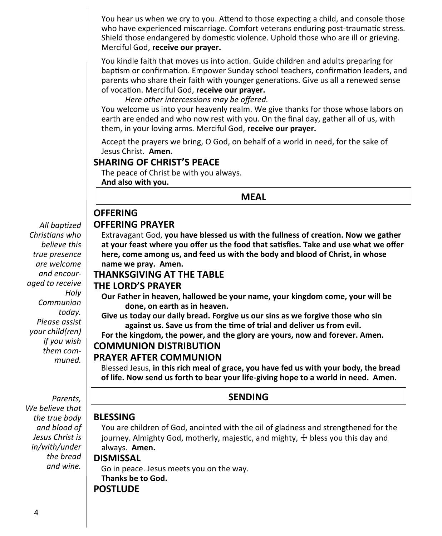You hear us when we cry to you. Attend to those expecting a child, and console those who have experienced miscarriage. Comfort veterans enduring post-traumatic stress. Shield those endangered by domestic violence. Uphold those who are ill or grieving. Merciful God, **receive our prayer.**

You kindle faith that moves us into action. Guide children and adults preparing for baptism or confirmation. Empower Sunday school teachers, confirmation leaders, and parents who share their faith with younger generations. Give us all a renewed sense of vocation. Merciful God, **receive our prayer.**

*Here other intercessions may be offered.*

You welcome us into your heavenly realm. We give thanks for those whose labors on earth are ended and who now rest with you. On the final day, gather all of us, with them, in your loving arms. Merciful God, **receive our prayer.**

Accept the prayers we bring, O God, on behalf of a world in need, for the sake of Jesus Christ. **Amen.**

#### **SHARING OF CHRIST'S PEACE**

The peace of Christ be with you always. **And also with you.**

**MEAL**

#### **OFFERING**

#### **OFFERING PRAYER**

Extravagant God, **you have blessed us with the fullness of creation. Now we gather at your feast where you offer us the food that satisfies. Take and use what we offer here, come among us, and feed us with the body and blood of Christ, in whose name we pray. Amen.**

#### **THANKSGIVING AT THE TABLE**

#### **THE LORD'S PRAYER**

**Our Father in heaven, hallowed be your name, your kingdom come, your will be done, on earth as in heaven.**

**Give us today our daily bread. Forgive us our sins as we forgive those who sin against us. Save us from the time of trial and deliver us from evil.**

**For the kingdom, the power, and the glory are yours, now and forever. Amen.**

#### **COMMUNION DISTRIBUTION**

#### **PRAYER AFTER COMMUNION**

Blessed Jesus, **in this rich meal of grace, you have fed us with your body, the bread of life. Now send us forth to bear your life-giving hope to a world in need. Amen.**

 *Parents, We believe that the true body and blood of Jesus Christ is in/with/under the bread and wine.* 

#### **SENDING**

#### **BLESSING**

You are children of God, anointed with the oil of gladness and strengthened for the journey. Almighty God, motherly, majestic, and mighty, ☩ bless you this day and always. **Amen.**

#### **DISMISSAL**

Go in peace. Jesus meets you on the way. **Thanks be to God. POSTLUDE**

*All baptized Christians who believe this true presence are welcome and encouraged to receive Holy Communion today. Please assist your child(ren) if you wish them communed.*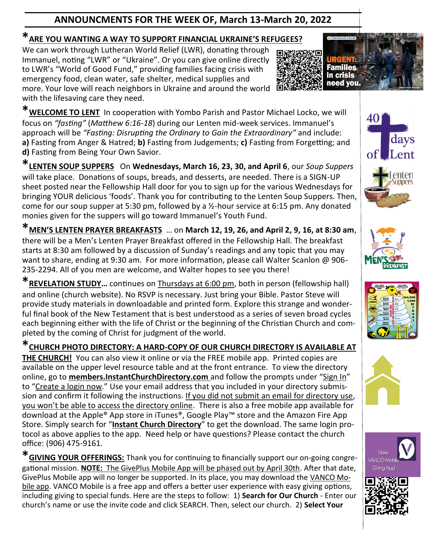# **ANNOUNCMENTS FOR THE WEEK OF, March 13-March 20, 2022**

# **\*ARE YOU WANTING A WAY TO SUPPORT FINANCIAL UKRAINE'S REFUGEES?**

We can work through Lutheran World Relief (LWR), donating through Immanuel, noting "LWR" or "Ukraine". Or you can give online directly to LWR's "World of Good Fund," providing families facing crisis with emergency food, clean water, safe shelter, medical supplies and more. Your love will reach neighbors in Ukraine and around the world with the lifesaving care they need.



**\*LENTEN SOUP SUPPERS** On **Wednesdays, March 16, 23, 30, and April 6**, our *Soup Suppers*  will take place. Donations of soups, breads, and desserts, are needed. There is a SIGN-UP sheet posted near the Fellowship Hall door for you to sign up for the various Wednesdays for bringing YOUR delicious 'foods'. Thank you for contributing to the Lenten Soup Suppers. Then, come for our soup supper at 5:30 pm, followed by a ½-hour service at 6:15 pm. Any donated monies given for the suppers will go toward Immanuel's Youth Fund.

**\*MEN'S LENTEN PRAYER BREAKFASTS** … on **March 12, 19, 26, and April 2, 9, 16, at 8:30 am**, there will be a Men's Lenten Prayer Breakfast offered in the Fellowship Hall. The breakfast starts at 8:30 am followed by a discussion of Sunday's readings and any topic that you may want to share, ending at 9:30 am. For more information, please call Walter Scanlon @ 906- 235-2294. All of you men are welcome, and Walter hopes to see you there!

**\*REVELATION STUDY…** continues on Thursdays at 6:00 pm, both in person (fellowship hall) and online (church website). No RSVP is necessary. Just bring your Bible. Pastor Steve will provide study materials in downloadable and printed form. Explore this strange and wonderful final book of the New Testament that is best understood as a series of seven broad cycles each beginning either with the life of Christ or the beginning of the Christian Church and completed by the coming of Christ for judgment of the world.

**\*CHURCH PHOTO DIRECTORY: A HARD-COPY OF OUR CHURCH DIRECTORY IS AVAILABLE AT** 

**THE CHURCH!** You can also view it online or via the FREE mobile app. Printed copies are available on the upper level resource table and at the front entrance. To view the directory online, go to **members.InstantChurchDirectory.com** and follow the prompts under "Sign In" to "Create a login now." Use your email address that you included in your directory submission and confirm it following the instructions. If you did not submit an email for directory use, you won't be able to access the directory online. There is also a free mobile app available for download at the Apple® App store in iTunes®, Google Play™ store and the Amazon Fire App Store. Simply search for "**Instant Church Directory**" to get the download. The same login protocol as above applies to the app. Need help or have questions? Please contact the church office: (906) 475-9161.

**\*GIVING YOUR OFFERINGS:** Thank you for continuing to financially support our on-going congregational mission. **NOTE:** The GivePlus Mobile App will be phased out by April 30th. After that date, GivePlus Mobile app will no longer be supported. In its place, you may download the VANCO Mobile app. VANCO Mobile is a free app and offers a better user experience with easy giving options, including giving to special funds. Here are the steps to follow: 1) **Search for Our Church** - Enter our church's name or use the invite code and click SEARCH. Then, select our church. 2) **Select Your** 











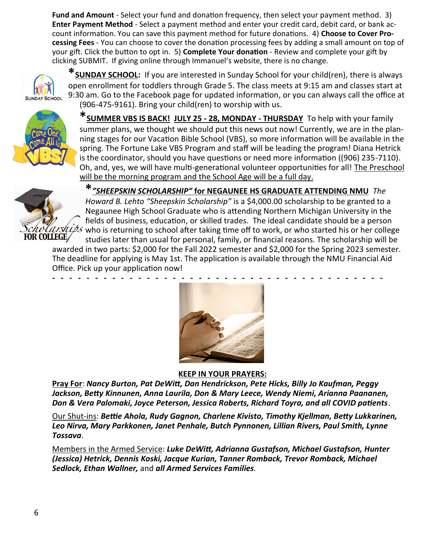**Fund and Amount** - Select your fund and donation frequency, then select your payment method. 3) **Enter Payment Method** - Select a payment method and enter your credit card, debit card, or bank account information. You can save this payment method for future donations. 4) **Choose to Cover Processing Fees** - You can choose to cover the donation processing fees by adding a small amount on top of your gift. Click the button to opt in. 5) **Complete Your donation** - Review and complete your gift by clicking SUBMIT. If giving online through Immanuel's website, there is no change.



**\*SUNDAY SCHOOL:** If you are interested in Sunday School for your child(ren), there is always open enrollment for toddlers through Grade 5. The class meets at 9:15 am and classes start at 9:30 am. Go to the Facebook page for updated information, or you can always call the office at (906-475-9161). Bring your child(ren) to worship with us.



**\*SUMMER VBS IS BACK! JULY 25 - 28, MONDAY - THURSDAY** To help with your family summer plans, we thought we should put this news out now! Currently, we are in the planning stages for our Vacation Bible School (VBS), so more information will be available in the spring. The Fortune Lake VBS Program and staff will be leading the program! Diana Hetrick is the coordinator, should you have questions or need more information ((906) 235-7110). Oh, and, yes, we will have multi-generational volunteer opportunities for all! The Preschool will be the morning program and the School Age will be a full day.



**\****"SHEEPSKIN SCHOLARSHIP"* **for NEGAUNEE HS GRADUATE ATTENDING NMU** *The Howard B. Lehto "Sheepskin Scholarship"* is a \$4,000.00 scholarship to be granted to a Negaunee High School Graduate who is attending Northern Michigan University in the fields of business, education, or skilled trades. The ideal candidate should be a person  $\overline{\text{MAX}}$  who is returning to school after taking time off to work, or who started his or her college studies later than usual for personal, family, or financial reasons. The scholarship will be

awarded in two parts: \$2,000 for the Fall 2022 semester and \$2,000 for the Spring 2023 semester. The deadline for applying is May 1st. The application is available through the NMU Financial Aid Office. Pick up your application now!



**KEEP IN YOUR PRAYERS:** 

**Pray For**: *Nancy Burton, Pat DeWitt, Dan Hendrickson, Pete Hicks, Billy Jo Kaufman, Peggy Jackson, Betty Kinnunen, Anna Laurila, Don & Mary Leece, Wendy Niemi, Arianna Paananen, Don & Vera Palomaki, Joyce Peterson, Jessica Roberts, Richard Toyra, and all COVID patients*.

Our Shut-ins: *Bettie Ahola, Rudy Gagnon, Charlene Kivisto, Timothy Kjellman, Betty Lukkarinen, Leo Nirva, Mary Parkkonen, Janet Penhale, Butch Pynnonen, Lillian Rivers, Paul Smith, Lynne Tossava*.

Members in the Armed Service: *Luke DeWitt, Adrianna Gustafson, Michael Gustafson, Hunter (Jessica) Hetrick, Dennis Koski, Jacque Kurian, Tanner Romback, Trevor Romback, Michael Sedlock, Ethan Wallner,* and *all Armed Services Families.*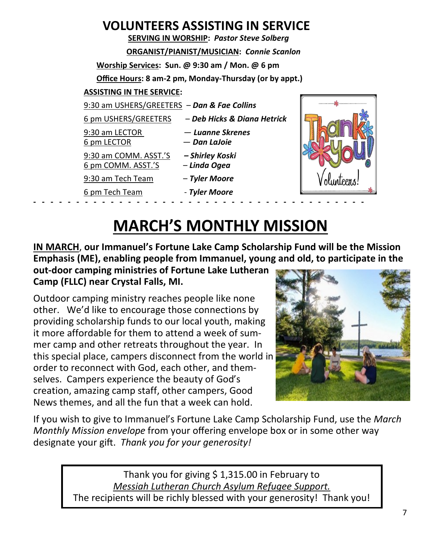# **VOLUNTEERS ASSISTING IN SERVICE**

 **SERVING IN WORSHIP:** *Pastor Steve Solberg* **ORGANIST/PIANIST/MUSICIAN:** *Connie Scanlon* **Worship Services: Sun. @ 9:30 am / Mon. @ 6 pm Office Hours: 8 am-2 pm, Monday-Thursday (or by appt.)**

### **ASSISTING IN THE SERVICE:**

9:30 am USHERS/GREETERS – *Dan & Fae Collins*

6 pm USHERS/GREETERS – *Deb Hicks & Diana Hetrick*

- 
- 6 pm LECTOR *Dan LaJoie*
- 9:30 am LECTOR *Luanne Skrenes*
- 9:30 am COMM. ASST.'S *– Shirley Koski*
- 6 pm COMM. ASST.'S *Linda Ogea*
- 9:30 am Tech Team *Tyler Moore*
- 6 pm Tech Team *Tyler Moore*
- -



# **MARCH'S MONTHLY MISSION**

**IN MARCH**, **our Immanuel's Fortune Lake Camp Scholarship Fund will be the Mission Emphasis (ME), enabling people from Immanuel, young and old, to participate in the** 

**out-door camping ministries of Fortune Lake Lutheran Camp (FLLC) near Crystal Falls, MI.**

Outdoor camping ministry reaches people like none other. We'd like to encourage those connections by providing scholarship funds to our local youth, making it more affordable for them to attend a week of summer camp and other retreats throughout the year. In this special place, campers disconnect from the world in order to reconnect with God, each other, and themselves. Campers experience the beauty of God's creation, amazing camp staff, other campers, Good News themes, and all the fun that a week can hold.



If you wish to give to Immanuel's Fortune Lake Camp Scholarship Fund, use the *March Monthly Mission envelope* from your offering envelope box or in some other way designate your gift. *Thank you for your generosity!* 

> Thank you for giving \$1,315.00 in February to *Messiah Lutheran Church Asylum Refugee Support.* The recipients will be richly blessed with your generosity! Thank you!